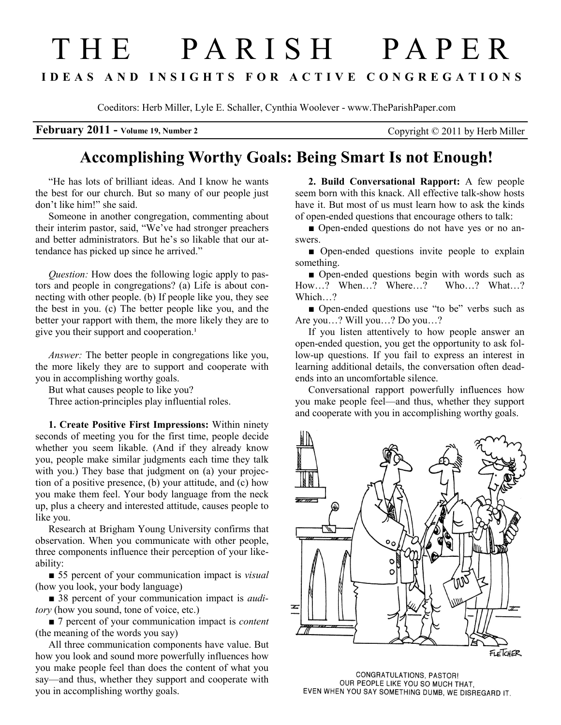# T H E P A R I S H P A P E R I D E A S A N D I N S I G H T S F O R A C T I V E C O N G R E G A T I O N S

Coeditors: Herb Miller, Lyle E. Schaller, Cynthia Woolever - www.TheParishPaper.com

February 2011 - Volume 19, Number 2 Copyright © 2011 by Herb Miller

# Accomplishing Worthy Goals: Being Smart Is not Enough!

"He has lots of brilliant ideas. And I know he wants the best for our church. But so many of our people just don't like him!" she said.

Someone in another congregation, commenting about their interim pastor, said, "We've had stronger preachers and better administrators. But he's so likable that our attendance has picked up since he arrived."

Question: How does the following logic apply to pastors and people in congregations? (a) Life is about connecting with other people. (b) If people like you, they see the best in you. (c) The better people like you, and the better your rapport with them, the more likely they are to give you their support and cooperation.<sup>1</sup>

Answer: The better people in congregations like you, the more likely they are to support and cooperate with you in accomplishing worthy goals.

But what causes people to like you?

Three action-principles play influential roles.

1. Create Positive First Impressions: Within ninety seconds of meeting you for the first time, people decide whether you seem likable. (And if they already know you, people make similar judgments each time they talk with you.) They base that judgment on (a) your projection of a positive presence, (b) your attitude, and (c) how you make them feel. Your body language from the neck up, plus a cheery and interested attitude, causes people to like you.

Research at Brigham Young University confirms that observation. When you communicate with other people, three components influence their perception of your likeability:

■ 55 percent of your communication impact is *visual* (how you look, your body language)

■ 38 percent of your communication impact is *audi*tory (how you sound, tone of voice, etc.)

■ 7 percent of your communication impact is *content* (the meaning of the words you say)

All three communication components have value. But how you look and sound more powerfully influences how you make people feel than does the content of what you say—and thus, whether they support and cooperate with you in accomplishing worthy goals.

2. Build Conversational Rapport: A few people seem born with this knack. All effective talk-show hosts have it. But most of us must learn how to ask the kinds of open-ended questions that encourage others to talk:

■ Open-ended questions do not have yes or no answers.

■ Open-ended questions invite people to explain something.

■ Open-ended questions begin with words such as How…? When…? Where…? Who…? What…? Which...?

■ Open-ended questions use "to be" verbs such as Are you…? Will you…? Do you…?

If you listen attentively to how people answer an open-ended question, you get the opportunity to ask follow-up questions. If you fail to express an interest in learning additional details, the conversation often deadends into an uncomfortable silence.

Conversational rapport powerfully influences how you make people feel—and thus, whether they support and cooperate with you in accomplishing worthy goals.



CONGRATULATIONS, PASTOR! OUR PEOPLE LIKE YOU SO MUCH THAT, EVEN WHEN YOU SAY SOMETHING DUMB, WE DISREGARD IT.